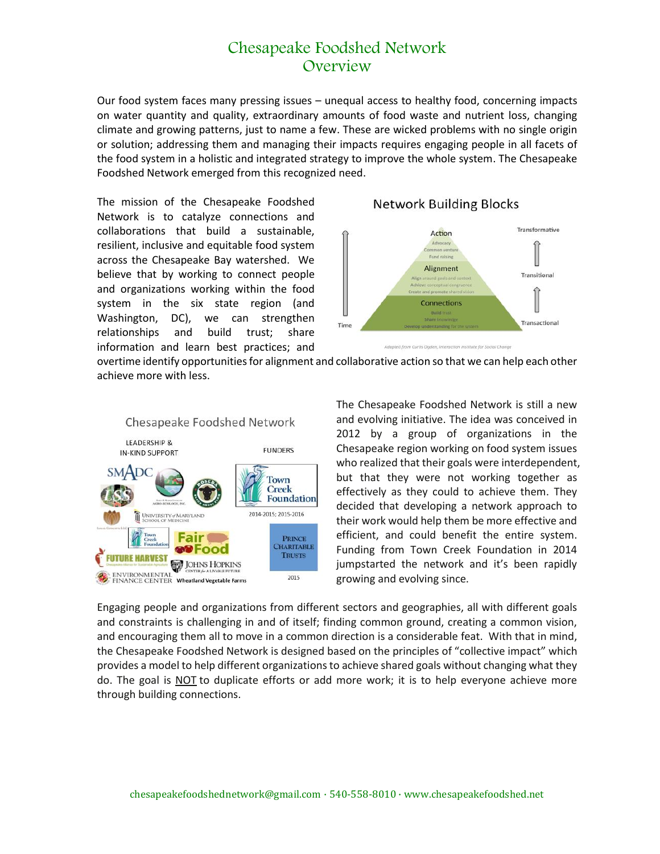## Chesapeake Foodshed Network **Overview**

Our food system faces many pressing issues – unequal access to healthy food, concerning impacts on water quantity and quality, extraordinary amounts of food waste and nutrient loss, changing climate and growing patterns, just to name a few. These are wicked problems with no single origin or solution; addressing them and managing their impacts requires engaging people in all facets of the food system in a holistic and integrated strategy to improve the whole system. The Chesapeake Foodshed Network emerged from this recognized need.

The mission of the Chesapeake Foodshed Network is to catalyze connections and collaborations that build a sustainable, resilient, inclusive and equitable food system across the Chesapeake Bay watershed. We believe that by working to connect people and organizations working within the food system in the six state region (and Washington, DC), we can strengthen relationships and build trust; share information and learn best practices; and





Curtis Ogden, Interaction Institute for So

overtime identify opportunities for alignment and collaborative action so that we can help each other achieve more with less.



The Chesapeake Foodshed Network is still a new and evolving initiative. The idea was conceived in 2012 by a group of organizations in the Chesapeake region working on food system issues who realized that their goals were interdependent, but that they were not working together as effectively as they could to achieve them. They decided that developing a network approach to their work would help them be more effective and efficient, and could benefit the entire system. Funding from Town Creek Foundation in 2014 jumpstarted the network and it's been rapidly growing and evolving since.

Engaging people and organizations from different sectors and geographies, all with different goals and constraints is challenging in and of itself; finding common ground, creating a common vision, and encouraging them all to move in a common direction is a considerable feat. With that in mind, the Chesapeake Foodshed Network is designed based on the principles of "collective impact" which provides a model to help different organizations to achieve shared goals without changing what they do. The goal is NOT to duplicate efforts or add more work; it is to help everyone achieve more through building connections.